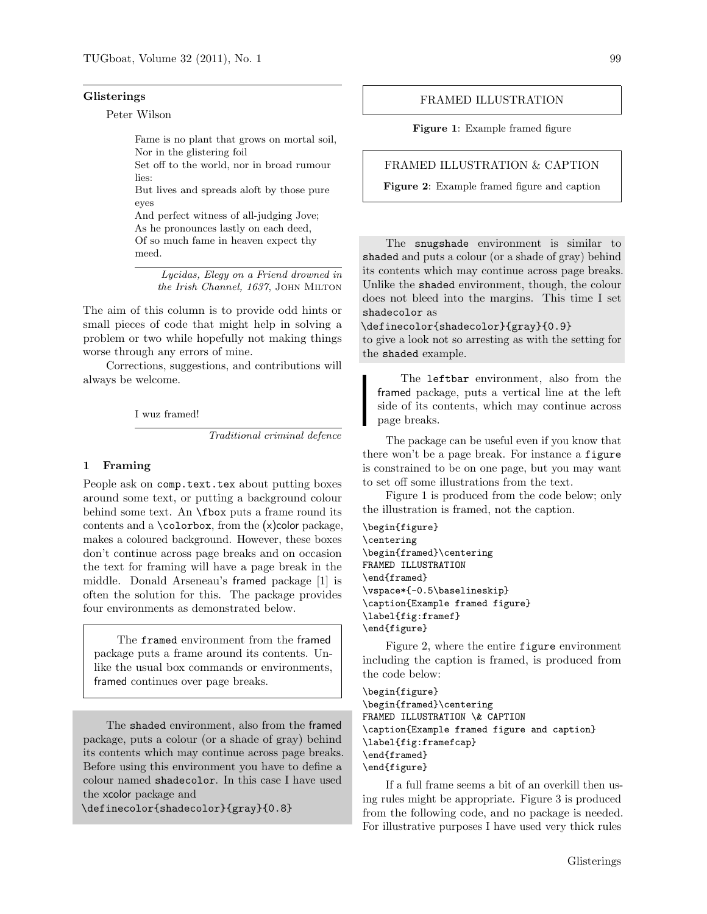#### Glisterings

Peter Wilson

Fame is no plant that grows on mortal soil, Nor in the glistering foil

Set off to the world, nor in broad rumour lies:

But lives and spreads aloft by those pure eyes

And perfect witness of all-judging Jove; As he pronounces lastly on each deed, Of so much fame in heaven expect thy meed.

> Lycidas, Elegy on a Friend drowned in the Irish Channel, 1637, JOHN MILTON

The aim of this column is to provide odd hints or small pieces of code that might help in solving a problem or two while hopefully not making things worse through any errors of mine.

Corrections, suggestions, and contributions will always be welcome.

I wuz framed!

Traditional criminal defence

### 1 Framing

People ask on comp.text.tex about putting boxes around some text, or putting a background colour behind some text. An \fbox puts a frame round its contents and a  $\cdot$ colorbox, from the  $(x)$ color package, makes a coloured background. However, these boxes don't continue across page breaks and on occasion the text for framing will have a page break in the middle. Donald Arseneau's framed package [1] is often the solution for this. The package provides four environments as demonstrated below.

The framed environment from the framed package puts a frame around its contents. Unlike the usual box commands or environments, framed continues over page breaks.

The shaded environment, also from the framed package, puts a colour (or a shade of gray) behind its contents which may continue across page breaks. Before using this environment you have to define a colour named shadecolor. In this case I have used the xcolor package and

\definecolor{shadecolor}{gray}{0.8}

### FRAMED ILLUSTRATION

Figure 1: Example framed figure

#### FRAMED ILLUSTRATION & CAPTION

Figure 2: Example framed figure and caption

The snugshade environment is similar to shaded and puts a colour (or a shade of gray) behind its contents which may continue across page breaks. Unlike the shaded environment, though, the colour does not bleed into the margins. This time I set shadecolor as

\definecolor{shadecolor}{gray}{0.9}

to give a look not so arresting as with the setting for the shaded example.

The leftbar environment, also from the framed package, puts a vertical line at the left side of its contents, which may continue across page breaks.

The package can be useful even if you know that there won't be a page break. For instance a figure is constrained to be on one page, but you may want to set off some illustrations from the text.

Figure 1 is produced from the code below; only the illustration is framed, not the caption.

## \begin{figure}

```
\centering
\begin{framed}\centering
FRAMED ILLUSTRATION
\end{framed}
\vspace*{-0.5\baselineskip}
\caption{Example framed figure}
\label{fig:framef}
\end{figure}
```
Figure 2, where the entire figure environment including the caption is framed, is produced from the code below:

\begin{figure} \begin{framed}\centering FRAMED ILLUSTRATION \& CAPTION \caption{Example framed figure and caption} \label{fig:framefcap} \end{framed} \end{figure}

If a full frame seems a bit of an overkill then using rules might be appropriate. Figure 3 is produced from the following code, and no package is needed. For illustrative purposes I have used very thick rules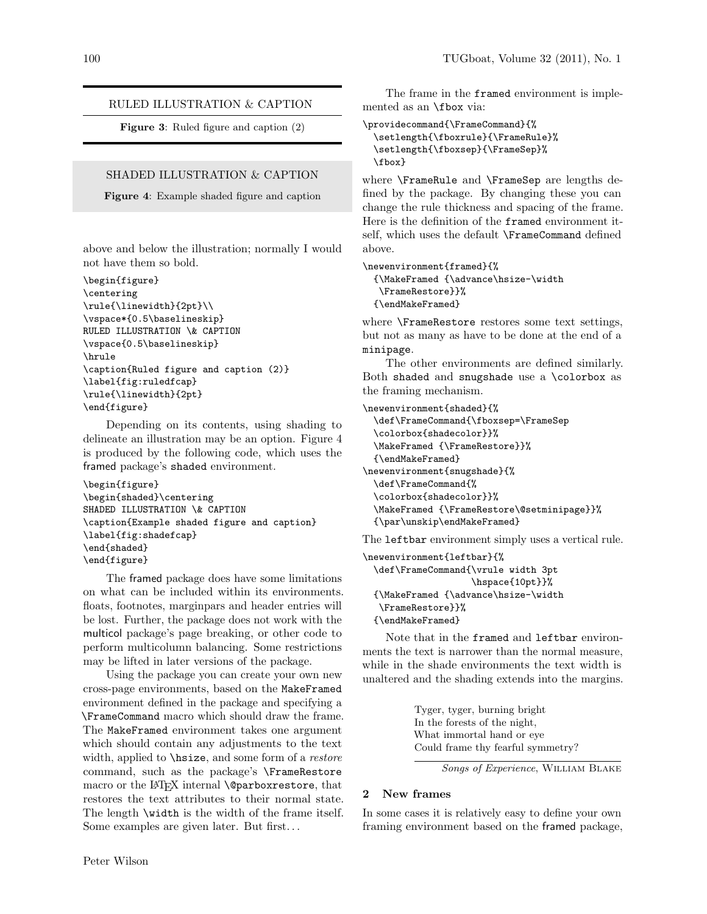### RULED ILLUSTRATION & CAPTION

Figure 3: Ruled figure and caption (2)

## SHADED ILLUSTRATION & CAPTION

Figure 4: Example shaded figure and caption

above and below the illustration; normally I would not have them so bold.

```
\begin{figure}
\centering
\rule{\linewidth}{2pt}\\
\vspace*{0.5\baselineskip}
RULED ILLUSTRATION \& CAPTION
\vspace{0.5\baselineskip}
\hrule
\caption{Ruled figure and caption (2)}
\label{fig:ruledfcap}
\rule{\linewidth}{2pt}
\end{figure}
```
Depending on its contents, using shading to delineate an illustration may be an option. Figure 4 is produced by the following code, which uses the framed package's shaded environment.

```
\begin{figure}
\begin{shaded}\centering
SHADED ILLUSTRATION \& CAPTION
\caption{Example shaded figure and caption}
\label{fig:shadefcap}
\end{shaded}
\end{figure}
```
The framed package does have some limitations on what can be included within its environments. floats, footnotes, marginpars and header entries will be lost. Further, the package does not work with the multicol package's page breaking, or other code to perform multicolumn balancing. Some restrictions may be lifted in later versions of the package.

Using the package you can create your own new cross-page environments, based on the MakeFramed environment defined in the package and specifying a \FrameCommand macro which should draw the frame. The MakeFramed environment takes one argument which should contain any adjustments to the text width, applied to **\hsize**, and some form of a *restore* command, such as the package's \FrameRestore macro or the LAT<sub>F</sub>X internal **\@parboxrestore**, that restores the text attributes to their normal state. The length \width is the width of the frame itself. Some examples are given later. But first. . .

The frame in the framed environment is implemented as an \fbox via:

```
\providecommand{\FrameCommand}{%
  \setlength{\fboxrule}{\FrameRule}%
  \setlength{\fboxsep}{\FrameSep}%
 \fbox}
```
where \FrameRule and \FrameSep are lengths defined by the package. By changing these you can change the rule thickness and spacing of the frame. Here is the definition of the framed environment itself, which uses the default \FrameCommand defined above.

\newenvironment{framed}{%

```
{\MakeFramed {\advance\hsize-\width
\FrameRestore}}%
{\endMakeFramed}
```
where \FrameRestore restores some text settings, but not as many as have to be done at the end of a minipage.

The other environments are defined similarly. Both shaded and snugshade use a \colorbox as the framing mechanism.

\newenvironment{shaded}{%

```
\def\FrameCommand{\fboxsep=\FrameSep
  \colorbox{shadecolor}}%
  \MakeFramed {\FrameRestore}}%
  {\endMakeFramed}
\newenvironment{snugshade}{%
  \def\FrameCommand{%
  \colorbox{shadecolor}}%
  \MakeFramed {\FrameRestore\@setminipage}}%
  {\par\unskip\endMakeFramed}
```
The leftbar environment simply uses a vertical rule.

```
\newenvironment{leftbar}{%
  \def\FrameCommand{\vrule width 3pt
                    \hspace{10pt}}%
  {\MakeFramed {\advance\hsize-\width
   \FrameRestore}}%
  {\endMakeFramed}
```
Note that in the framed and leftbar environments the text is narrower than the normal measure, while in the shade environments the text width is unaltered and the shading extends into the margins.

> Tyger, tyger, burning bright In the forests of the night, What immortal hand or eye Could frame thy fearful symmetry?

```
Songs of Experience, William Blake
```
## 2 New frames

In some cases it is relatively easy to define your own framing environment based on the framed package,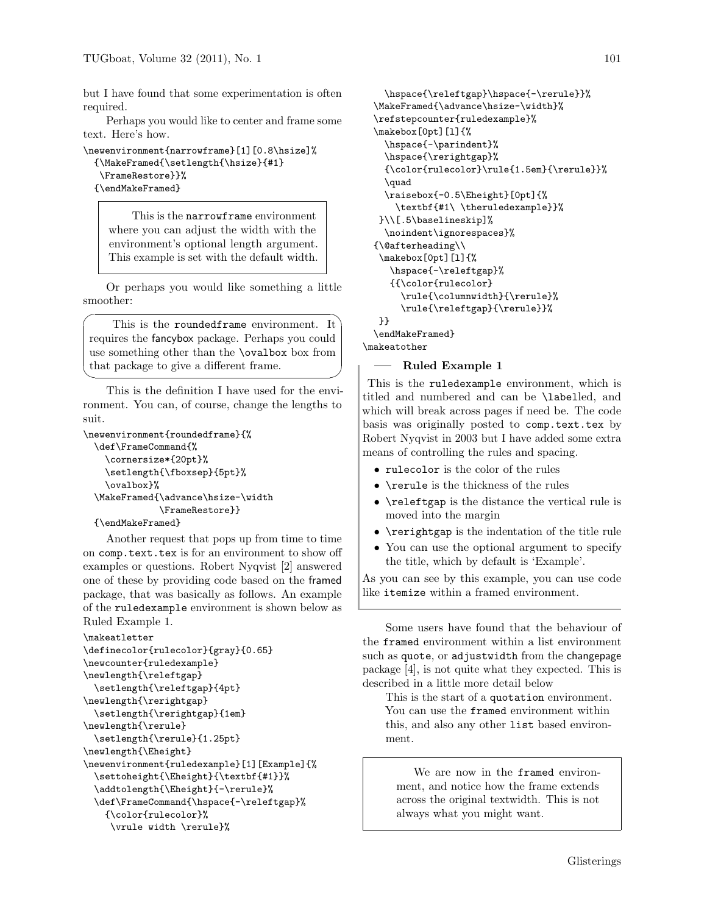but I have found that some experimentation is often required.

Perhaps you would like to center and frame some text. Here's how.

```
\newenvironment{narrowframe}[1][0.8\hsize]%
  {\MakeFramed{\setlength{\hsize}{#1}
   \FrameRestore}}%
  {\endMakeFramed}
```
This is the narrowframe environment where you can adjust the width with the environment's optional length argument. This example is set with the default width.

Or perhaps you would like something a little smoother:

 $\sqrt{2}$ This is the roundedframe environment. It requires the fancybox package. Perhaps you could use something other than the \ovalbox box from that package to give a different frame.

This is the definition I have used for the environment. You can, of course, change the lengths to suit.

```
\newenvironment{roundedframe}{%
 \def\FrameCommand{%
   \cornersize*{20pt}%
    \setlength{\fboxsep}{5pt}%
    \ovalbox}%
  \MakeFramed{\advance\hsize-\width
              \FrameRestore}}
  {\endMakeFramed}
```
✒

Another request that pops up from time to time on comp.text.tex is for an environment to show off examples or questions. Robert Nyqvist [2] answered one of these by providing code based on the framed package, that was basically as follows. An example of the ruledexample environment is shown below as Ruled Example 1.

```
\makeatletter
\definecolor{rulecolor}{gray}{0.65}
\newcounter{ruledexample}
\newlength{\releftgap}
  \setlength{\releftgap}{4pt}
\newlength{\rerightgap}
 \setlength{\rerightgap}{1em}
\newlength{\rerule}
 \setlength{\rerule}{1.25pt}
\newlength{\Eheight}
\newenvironment{ruledexample}[1][Example]{%
  \settoheight{\Eheight}{\textbf{#1}}%
  \addtolength{\Eheight}{-\rerule}%
  \def\FrameCommand{\hspace{-\releftgap}%
    {\color{rulecolor}%
     \vrule width \rerule}%
```

```
\hspace{\releftgap}\hspace{-\rerule}}%
  \MakeFramed{\advance\hsize-\width}%
  \refstepcounter{ruledexample}%
  \makebox[0pt][l]{%
   \hspace{-\parindent}%
   \hspace{\rerightgap}%
   {\color{red}{\rm \:rel\:\:} \} \\quad
   \raisebox{-0.5\Eheight}[0pt]{%
     \textbf{#1\ \theruledexample}}%
  }\\[.5\baselineskip]%
   \noindent\ignorespaces}%
  {\@afterheading\\
  \makebox[0pt][l]{%
    \hspace{-\releftgap}%
    {{\color{rulecolor}
      \rule{\columnwidth}{\rerule}%
      \rule{\releftgap}{\rerule}}%
  }}
  \endMakeFramed}
\makeatother
```
# Ruled Example 1

 $\blacksquare$ This is the ruledexample environment, which is titled and numbered and can be \labelled, and which will break across pages if need be. The code basis was originally posted to comp.text.tex by Robert Nyqvist in 2003 but I have added some extra means of controlling the rules and spacing.

- rulecolor is the color of the rules
- \rerule is the thickness of the rules
- \releftgap is the distance the vertical rule is moved into the margin
- \rerightgap is the indentation of the title rule
- You can use the optional argument to specify the title, which by default is 'Example'.

As you can see by this example, you can use code like itemize within a framed environment.

Some users have found that the behaviour of the framed environment within a list environment such as quote, or adjustwidth from the changepage package [4], is not quite what they expected. This is described in a little more detail below

This is the start of a quotation environment. You can use the framed environment within this, and also any other list based environment.

We are now in the framed environment, and notice how the frame extends across the original textwidth. This is not always what you might want.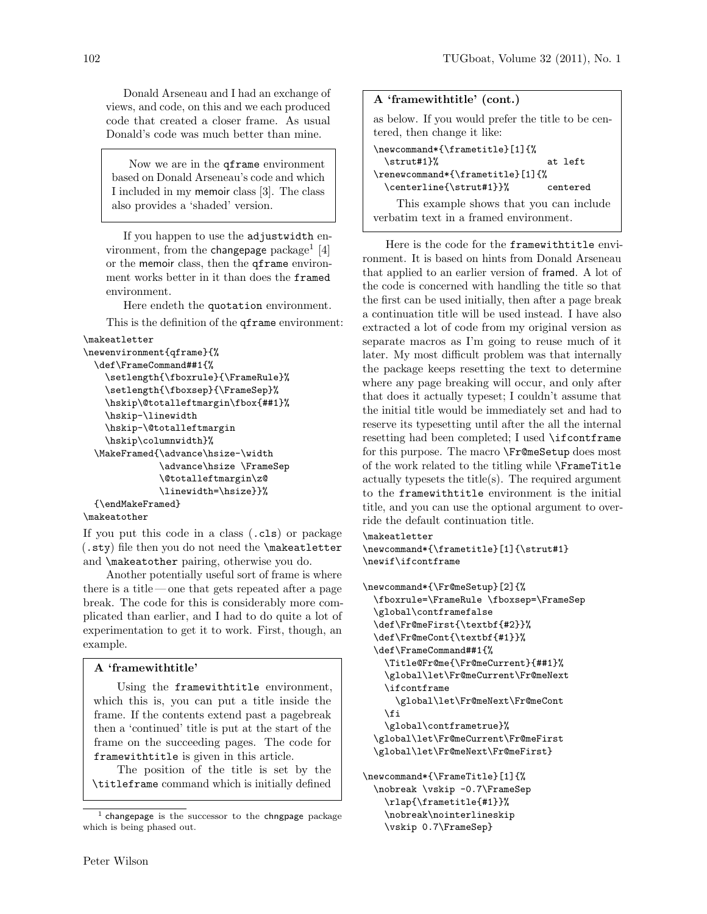Donald Arseneau and I had an exchange of views, and code, on this and we each produced code that created a closer frame. As usual Donald's code was much better than mine.

Now we are in the qframe environment based on Donald Arseneau's code and which I included in my memoir class [3]. The class also provides a 'shaded' version.

If you happen to use the adjustwidth environment, from the changepage package<sup>1</sup> [4] or the memoir class, then the qframe environment works better in it than does the framed environment.

Here endeth the quotation environment.

This is the definition of the qframe environment:

```
\makeatletter
```

```
\newenvironment{qframe}{%
 \def\FrameCommand##1{%
    \setlength{\fboxrule}{\FrameRule}%
    \setlength{\fboxsep}{\FrameSep}%
    \hskip\@totalleftmargin\fbox{##1}%
    \hskip-\linewidth
    \hskip-\@totalleftmargin
    \hskip\columnwidth}%
  \MakeFramed{\advance\hsize-\width
              \advance\hsize \FrameSep
              \@totalleftmargin\z@
              \linewidth=\hsize}}%
  {\endMakeFramed}
\makeatother
```
If you put this code in a class (.cls) or package (.sty) file then you do not need the \makeatletter and \makeatother pairing, otherwise you do.

Another potentially useful sort of frame is where there is a title — one that gets repeated after a page break. The code for this is considerably more complicated than earlier, and I had to do quite a lot of experimentation to get it to work. First, though, an example.

# A 'framewithtitle'

Using the framewithtitle environment, which this is, you can put a title inside the frame. If the contents extend past a pagebreak then a 'continued' title is put at the start of the frame on the succeeding pages. The code for framewithtitle is given in this article.

The position of the title is set by the \titleframe command which is initially defined

| A 'framewithtitle' (cont.)                                                        |          |
|-----------------------------------------------------------------------------------|----------|
| as below. If you would prefer the title to be cen-<br>tered, then change it like: |          |
| \newcommand*{\frametitle}[1]{%                                                    |          |
| $\strut \text{strut#1}\$                                                          | at left  |
| \renewcommand*{\frametitle}[1]{%                                                  |          |
| \centerline{\strut#1}}%                                                           | centered |
| This example shows that you can include                                           |          |
| verbatim text in a framed environment.                                            |          |

Here is the code for the framewithtitle environment. It is based on hints from Donald Arseneau that applied to an earlier version of framed. A lot of the code is concerned with handling the title so that the first can be used initially, then after a page break a continuation title will be used instead. I have also extracted a lot of code from my original version as separate macros as I'm going to reuse much of it later. My most difficult problem was that internally the package keeps resetting the text to determine where any page breaking will occur, and only after that does it actually typeset; I couldn't assume that the initial title would be immediately set and had to reserve its typesetting until after the all the internal resetting had been completed; I used \ifcontframe for this purpose. The macro \Fr@meSetup does most of the work related to the titling while \FrameTitle actually typesets the title(s). The required argument to the framewithtitle environment is the initial title, and you can use the optional argument to override the default continuation title.

\makeatletter

\newcommand\*{\frametitle}[1]{\strut#1} \newif\ifcontframe

```
\newcommand*{\Fr@meSetup}[2]{%
 \fboxrule=\FrameRule \fboxsep=\FrameSep
  \global\contframefalse
  \def\Fr@meFirst{\textbf{#2}}%
  \def\Fr@meCont{\textbf{#1}}%
  \def\FrameCommand##1{%
   \Title@Fr@me{\Fr@meCurrent}{##1}%
    \global\let\Fr@meCurrent\Fr@meNext
    \ifcontframe
      \global\let\Fr@meNext\Fr@meCont
   \fi
    \global\contframetrue}%
  \global\let\Fr@meCurrent\Fr@meFirst
  \global\let\Fr@meNext\Fr@meFirst}
\newcommand*{\FrameTitle}[1]{%
```
\nobreak \vskip -0.7\FrameSep \rlap{\frametitle{#1}}% \nobreak\nointerlineskip \vskip 0.7\FrameSep}

 $<sup>1</sup>$  changepage is the successor to the chngpage package</sup> which is being phased out.